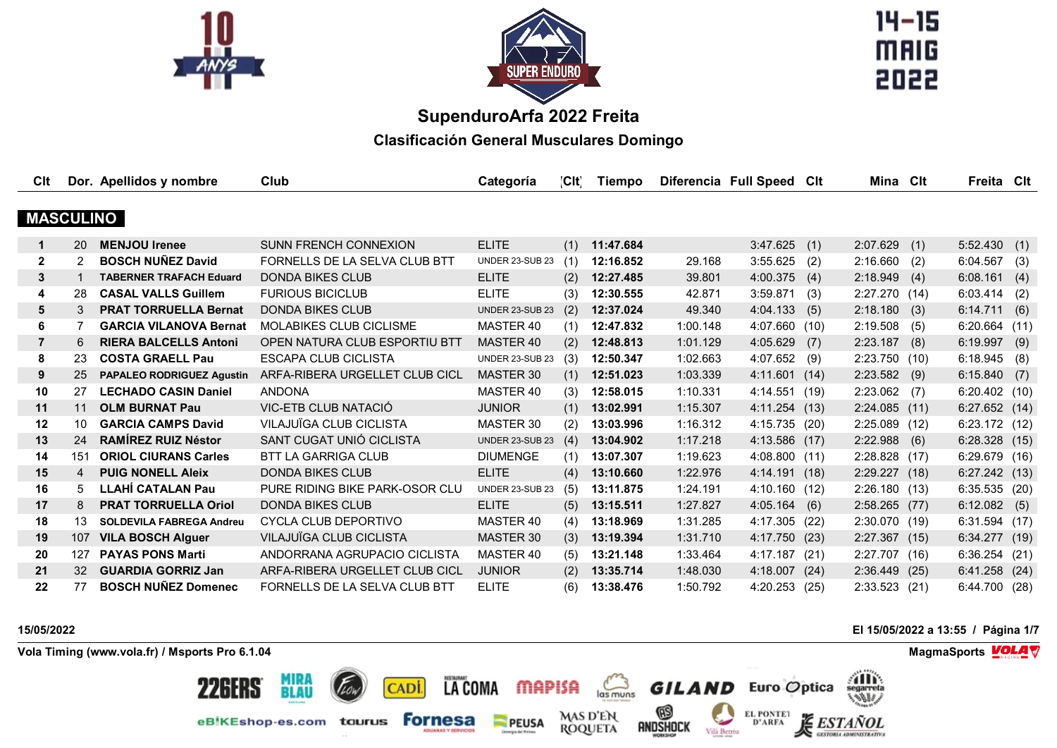



 $14 - 15$ MAIG 2022

# **SupenduroArfa 2022 Freita**

**Clasificación General Musculares Domingo**

| CIt              |                | Dor. Apellidos y nombre          | Club                           | Categoría              | [CIt] | Tiempo    |          | Diferencia Full Speed Clt |     | Mina Clt       |     | Freita Clt      |      |
|------------------|----------------|----------------------------------|--------------------------------|------------------------|-------|-----------|----------|---------------------------|-----|----------------|-----|-----------------|------|
|                  |                |                                  |                                |                        |       |           |          |                           |     |                |     |                 |      |
| <b>MASCULINO</b> |                |                                  |                                |                        |       |           |          |                           |     |                |     |                 |      |
| $\mathbf 1$      | 20             | <b>MENJOU Irenee</b>             | <b>SUNN FRENCH CONNEXION</b>   | <b>ELITE</b>           | (1)   | 11:47.684 |          | 3:47.625                  | (1) | 2:07.629       | (1) | 5:52.430        | (1)  |
| $\mathbf{2}$     | $\overline{2}$ | <b>BOSCH NUÑEZ David</b>         | FORNELLS DE LA SELVA CLUB BTT  | <b>UNDER 23-SUB 23</b> | (1)   | 12:16.852 | 29.168   | 3:55.625                  | (2) | 2:16.660       | (2) | 6:04.567        | (3)  |
| 3                |                | <b>TABERNER TRAFACH Eduard</b>   | <b>DONDA BIKES CLUB</b>        | <b>ELITE</b>           | (2)   | 12:27.485 | 39.801   | 4:00.375                  | (4) | 2:18.949       | (4) | 6:08.161        | (4)  |
| 4                | 28             | <b>CASAL VALLS Guillem</b>       | <b>FURIOUS BICICLUB</b>        | <b>ELITE</b>           | (3)   | 12:30.555 | 42.871   | 3:59.871(3)               |     | 2:27.270(14)   |     | 6:03.414        | (2)  |
| 5                | 3              | <b>PRAT TORRUELLA Bernat</b>     | <b>DONDA BIKES CLUB</b>        | UNDER 23-SUB 23        | (2)   | 12:37.024 | 49.340   | 4:04.133(5)               |     | 2:18.180(3)    |     | 6:14.711        | (6)  |
| 6                | 7              | <b>GARCIA VILANOVA Bernat</b>    | <b>MOLABIKES CLUB CICLISME</b> | MASTER 40              | (1)   | 12:47.832 | 1:00.148 | 4:07.660 (10)             |     | 2:19.508       | (5) | 6:20.664        | (11) |
| $\overline{7}$   | 6              | <b>RIERA BALCELLS Antoni</b>     | OPEN NATURA CLUB ESPORTIU BTT  | <b>MASTER 40</b>       | (2)   | 12:48.813 | 1:01.129 | 4:05.629                  | (7) | 2:23.187       | (8) | 6:19.997        | (9)  |
| 8                | 23             | <b>COSTA GRAELL Pau</b>          | <b>ESCAPA CLUB CICLISTA</b>    | UNDER 23-SUB 23        | (3)   | 12:50.347 | 1:02.663 | 4:07.652                  | (9) | 2:23.750(10)   |     | 6:18.945        | (8)  |
| 9                | 25             | <b>PAPALEO RODRIGUEZ Agustin</b> | ARFA-RIBERA URGELLET CLUB CICL | <b>MASTER 30</b>       | (1)   | 12:51.023 | 1:03.339 | 4:11.601(14)              |     | $2:23.582$ (9) |     | 6:15.840        | (7)  |
| 10               | 27             | <b>LECHADO CASIN Daniel</b>      | <b>ANDONA</b>                  | MASTER 40              | (3)   | 12:58.015 | 1:10.331 | 4:14.551 (19)             |     | $2:23.062$ (7) |     | $6:20.402$ (10) |      |
| 11               | 11             | <b>OLM BURNAT Pau</b>            | VIC-ETB CLUB NATACIÓ           | <b>JUNIOR</b>          | (1)   | 13:02.991 | 1:15.307 | 4:11.254 (13)             |     | 2:24.085(11)   |     | 6:27.652        | (14) |
| 12               | 10             | <b>GARCIA CAMPS David</b>        | VILAJUÏGA CLUB CICLISTA        | MASTER 30              | (2)   | 13:03.996 | 1:16.312 | 4:15.735 (20)             |     | 2:25.089 (12)  |     | 6:23.172 (12)   |      |
| 13               | 24             | <b>RAMÍREZ RUIZ Néstor</b>       | SANT CUGAT UNIÓ CICLISTA       | <b>UNDER 23-SUB 23</b> | (4)   | 13:04.902 | 1:17.218 | 4:13.586 (17)             |     | $2:22.988$ (6) |     | 6:28.328(15)    |      |
| 14               | 151            | <b>ORIOL CIURANS Carles</b>      | <b>BTT LA GARRIGA CLUB</b>     | <b>DIUMENGE</b>        | (1)   | 13:07.307 | 1:19.623 | 4:08.800(11)              |     | 2:28.828(17)   |     | 6:29.679(16)    |      |
| 15               | $\overline{4}$ | <b>PUIG NONELL Aleix</b>         | <b>DONDA BIKES CLUB</b>        | <b>ELITE</b>           | (4)   | 13:10.660 | 1:22.976 | 4:14.191(18)              |     | 2:29.227 (18)  |     | 6:27.242(13)    |      |
| 16               | 5              | <b>LLAHÍ CATALAN Pau</b>         | PURE RIDING BIKE PARK-OSOR CLU | <b>UNDER 23-SUB 23</b> | (5)   | 13:11.875 | 1:24.191 | 4:10.160 (12)             |     | 2:26.180(13)   |     | 6:35.535(20)    |      |
| 17               | 8              | <b>PRAT TORRUELLA Oriol</b>      | <b>DONDA BIKES CLUB</b>        | <b>ELITE</b>           | (5)   | 13:15.511 | 1:27.827 | $4:05.164$ (6)            |     | 2:58.265 (77)  |     | 6:12.082        | (5)  |
| 18               | 13             | <b>SOLDEVILA FABREGA Andreu</b>  | CYCLA CLUB DEPORTIVO           | MASTER 40              | (4)   | 13:18.969 | 1:31.285 | 4:17.305 (22)             |     | 2:30.070(19)   |     | 6:31.594        | (17) |
| 19               | 107            | <b>VILA BOSCH Alguer</b>         | VILAJUÏGA CLUB CICLISTA        | <b>MASTER 30</b>       | (3)   | 13:19.394 | 1:31.710 | 4:17.750 (23)             |     | 2:27.367(15)   |     | 6:34.277        | (19) |
| 20               | 127            | <b>PAYAS PONS Marti</b>          | ANDORRANA AGRUPACIO CICLISTA   | MASTER 40              | (5)   | 13:21.148 | 1:33.464 | 4:17.187 (21)             |     | 2:27.707 (16)  |     | 6:36.254(21)    |      |
| 21               | 32             | <b>GUARDIA GORRIZ Jan</b>        | ARFA-RIBERA URGELLET CLUB CICL | <b>JUNIOR</b>          | (2)   | 13:35.714 | 1:48.030 | 4:18.007 (24)             |     | 2:36.449(25)   |     | 6:41.258        | (24) |
| 22               | 77             | <b>BOSCH NUÑEZ Domenec</b>       | FORNELLS DE LA SELVA CLUB BTT  | <b>ELITE</b>           | (6)   | 13:38.476 | 1:50.792 | $4:20.253$ (25)           |     | 2:33.523 (21)  |     | 6:44.700 (28)   |      |

LA COMA MAPISA

**PEUSA** 

 $\sum_{\text{las muns}}$ 

**MAS D'EN<br>ROQUETA** 

andshock<br>Radshock

**Vola Timing (www.vola.fr) / Msports Pro 6.1.04 MagmaSports MagmaSports MagmaSports MagmaSports MagmaSports** 

**MIRA<br>BLAU** 

eBIKEshop-es.com taurus

CADI.

**Fornesa** 

**22GERS** 

**15/05/2022 El 15/05/2022 a 13:55 / Página 1/7**

**Alla** 

*TANOL* 

**GESTORIA ADMINISTRATIVA** 

**GILAND** Euro Optica

Vilà Betriu

**EL PONTET** 

D'ARFA

发

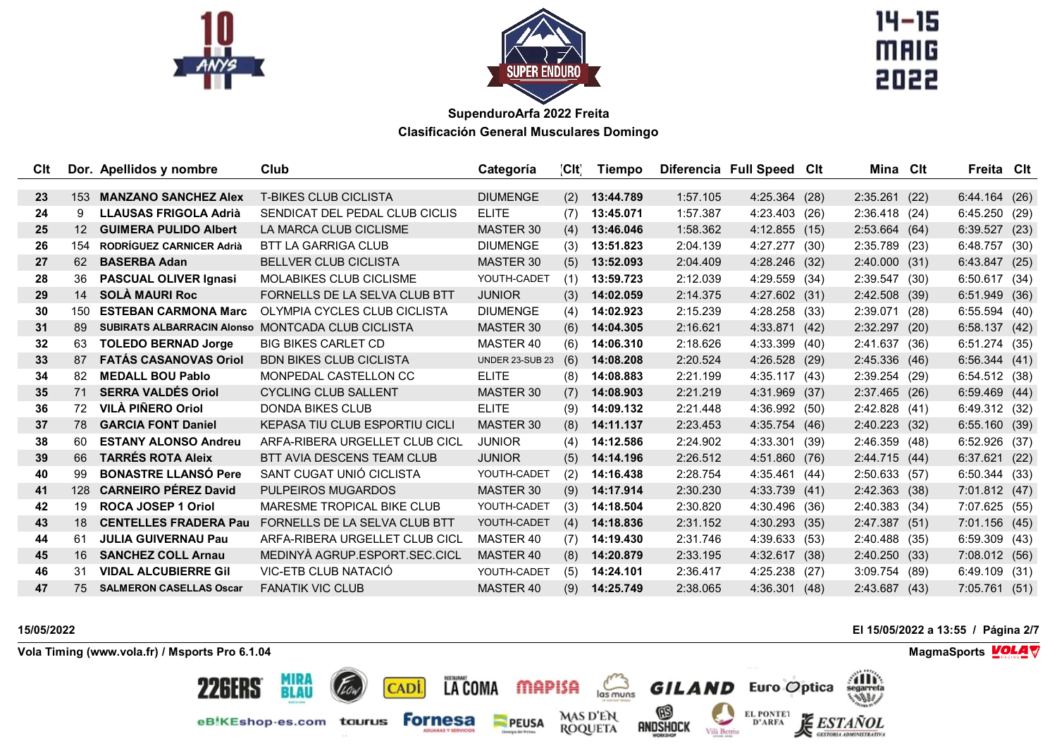



 $14 - 15$ **MAIG** 

| Clt             |                 | Dor. Apellidos y nombre           | Club                                  | Categoría              | CH  | Tiempo    |          | Diferencia Full Speed Cit | Mina Clt        |      | Freita Cit    |      |
|-----------------|-----------------|-----------------------------------|---------------------------------------|------------------------|-----|-----------|----------|---------------------------|-----------------|------|---------------|------|
| 23              | 153             | <b>MANZANO SANCHEZ Alex</b>       | <b>T-BIKES CLUB CICLISTA</b>          | <b>DIUMENGE</b>        | (2) | 13:44.789 | 1:57.105 | 4:25.364 (28)             | 2:35.261(22)    |      | 6:44.164(26)  |      |
| 24              | 9               | <b>LLAUSAS FRIGOLA Adrià</b>      | SENDICAT DEL PEDAL CLUB CICLIS        | <b>ELITE</b>           | (7) | 13:45.071 | 1:57.387 | 4:23.403 (26)             | $2:36.418$ (24) |      | 6:45.250(29)  |      |
| 25              | 12 <sup>2</sup> | <b>GUIMERA PULIDO Albert</b>      | LA MARCA CLUB CICLISME                | <b>MASTER 30</b>       | (4) | 13:46.046 | 1:58.362 | $4:12.855$ (15)           | 2:53.664(64)    |      | 6:39.527(23)  |      |
| 26              | 154             | <b>RODRÍGUEZ CARNICER Adrià</b>   | <b>BTT LA GARRIGA CLUB</b>            | <b>DIUMENGE</b>        | (3) | 13:51.823 | 2:04.139 | 4:27.277 (30)             | $2:35.789$ (23) |      | 6:48.757      | (30) |
| 27              | 62              | <b>BASERBA Adan</b>               | <b>BELLVER CLUB CICLISTA</b>          | MASTER 30              | (5) | 13:52.093 | 2:04.409 | 4:28.246 (32)             | 2:40.000(31)    |      | 6:43.847      | (25) |
| 28              | 36              | <b>PASCUAL OLIVER Ignasi</b>      | <b>MOLABIKES CLUB CICLISME</b>        | YOUTH-CADET            | (1) | 13:59.723 | 2:12.039 | 4:29.559 (34)             | 2:39.547        | (30) | 6:50.617 (34) |      |
| 29              | 14              | <b>SOLÀ MAURI Roc</b>             | FORNELLS DE LA SELVA CLUB BTT         | <b>JUNIOR</b>          | (3) | 14:02.059 | 2:14.375 | 4:27.602 (31)             | 2:42.508(39)    |      | 6:51.949 (36) |      |
| 30              | 150             | <b>ESTEBAN CARMONA Marc</b>       | OLYMPIA CYCLES CLUB CICLISTA          | <b>DIUMENGE</b>        | (4) | 14:02.923 | 2:15.239 | 4:28.258 (33)             | 2:39.071        | (28) | 6:55.594(40)  |      |
| 31              | 89              | <b>SUBIRATS ALBARRACIN Alonso</b> | MONTCADA CLUB CICLISTA                | <b>MASTER 30</b>       | (6) | 14:04.305 | 2:16.621 | 4:33.871 (42)             | 2:32.297        | (20) | 6:58.137      | (42) |
| $32\phantom{a}$ | 63              | <b>TOLEDO BERNAD Jorge</b>        | <b>BIG BIKES CARLET CD</b>            | MASTER 40              | (6) | 14:06.310 | 2:18.626 | 4:33.399 (40)             | 2:41.637 (36)   |      | 6:51.274(35)  |      |
| 33              | 87              | <b>FATÁS CASANOVAS Oriol</b>      | <b>BDN BIKES CLUB CICLISTA</b>        | <b>UNDER 23-SUB 23</b> | (6) | 14:08.208 | 2:20.524 | 4:26.528 (29)             | 2:45.336(46)    |      | 6:56.344(41)  |      |
| 34              | 82              | <b>MEDALL BOU Pablo</b>           | MONPEDAL CASTELLON CC                 | <b>ELITE</b>           | (8) | 14:08.883 | 2:21.199 | 4:35.117(43)              | 2:39.254        | (29) | 6:54.512 (38) |      |
| 35              | 71              | <b>SERRA VALDÉS Oriol</b>         | <b>CYCLING CLUB SALLENT</b>           | <b>MASTER 30</b>       | (7) | 14:08.903 | 2:21.219 | 4:31.969 (37)             | 2:37.465 (26)   |      | 6:59.469(44)  |      |
| 36              | 72              | <b>VILÀ PIÑERO Oriol</b>          | <b>DONDA BIKES CLUB</b>               | <b>ELITE</b>           | (9) | 14:09.132 | 2:21.448 | 4:36.992 (50)             | 2:42.828(41)    |      | 6:49.312 (32) |      |
| 37              | 78              | <b>GARCIA FONT Daniel</b>         | <b>KEPASA TIU CLUB ESPORTIU CICLI</b> | MASTER 30              | (8) | 14:11.137 | 2:23.453 | 4:35.754(46)              | 2:40.223(32)    |      | 6:55.160 (39) |      |
| 38              | 60              | <b>ESTANY ALONSO Andreu</b>       | ARFA-RIBERA URGELLET CLUB CICL        | <b>JUNIOR</b>          | (4) | 14:12.586 | 2:24.902 | 4:33.301 (39)             | 2:46.359(48)    |      | 6:52.926 (37) |      |
| 39              | 66              | <b>TARRÉS ROTA Aleix</b>          | BTT AVIA DESCENS TEAM CLUB            | <b>JUNIOR</b>          | (5) | 14:14.196 | 2:26.512 | 4:51.860 (76)             | 2:44.715(44)    |      | 6:37.621      | (22) |
| 40              | 99              | <b>BONASTRE LLANSÓ Pere</b>       | SANT CUGAT UNIÓ CICLISTA              | YOUTH-CADET            | (2) | 14:16.438 | 2:28.754 | 4:35.461 (44)             | 2:50.633 (57)   |      | 6:50.344(33)  |      |
| 41              | 128             | <b>CARNEIRO PÉREZ David</b>       | PULPEIROS MUGARDOS                    | MASTER 30              | (9) | 14:17.914 | 2:30.230 | 4:33.739(41)              | 2:42.363(38)    |      | 7:01.812(47)  |      |
| 42              | 19              | <b>ROCA JOSEP 1 Oriol</b>         | MARESME TROPICAL BIKE CLUB            | YOUTH-CADET            | (3) | 14:18.504 | 2:30.820 | 4:30.496 (36)             | 2:40.383(34)    |      | 7:07.625 (55) |      |
| 43              | 18              | <b>CENTELLES FRADERA Pau</b>      | FORNELLS DE LA SELVA CLUB BTT         | YOUTH-CADET            | (4) | 14:18.836 | 2:31.152 | 4:30.293 (35)             | 2:47.387 (51)   |      | 7:01.156 (45) |      |
| 44              | 61              | <b>JULIA GUIVERNAU Pau</b>        | ARFA-RIBERA URGELLET CLUB CICL        | MASTER 40              | (7) | 14:19.430 | 2:31.746 | 4:39.633 (53)             | 2:40.488 (35)   |      | 6:59.309 (43) |      |
| 45              | 16              | <b>SANCHEZ COLL Arnau</b>         | MEDINYÀ AGRUP.ESPORT.SEC.CICL         | MASTER 40              | (8) | 14:20.879 | 2:33.195 | 4:32.617 (38)             | 2:40.250(33)    |      | 7:08.012(56)  |      |
| 46              | 31              | <b>VIDAL ALCUBIERRE Gil</b>       | VIC-ETB CLUB NATACIÓ                  | YOUTH-CADET            | (5) | 14:24.101 | 2:36.417 | 4:25.238 (27)             | 3:09.754        | (89) | 6:49.109 (31) |      |
| 47              | 75              | <b>SALMERON CASELLAS Oscar</b>    | <b>FANATIK VIC CLUB</b>               | MASTER 40              | (9) | 14:25.749 | 2:38.065 | 4:36.301(48)              | 2:43.687        | (43) | 7:05.761      | (51) |

**Vola Timing (www.vola.fr) / Msports Pro 6.1.04 MagmaSports MagmaSports MagmaSports MagmaSports MagmaSports** 

**15/05/2022 El 15/05/2022 a 13:55 / Página 2/7**



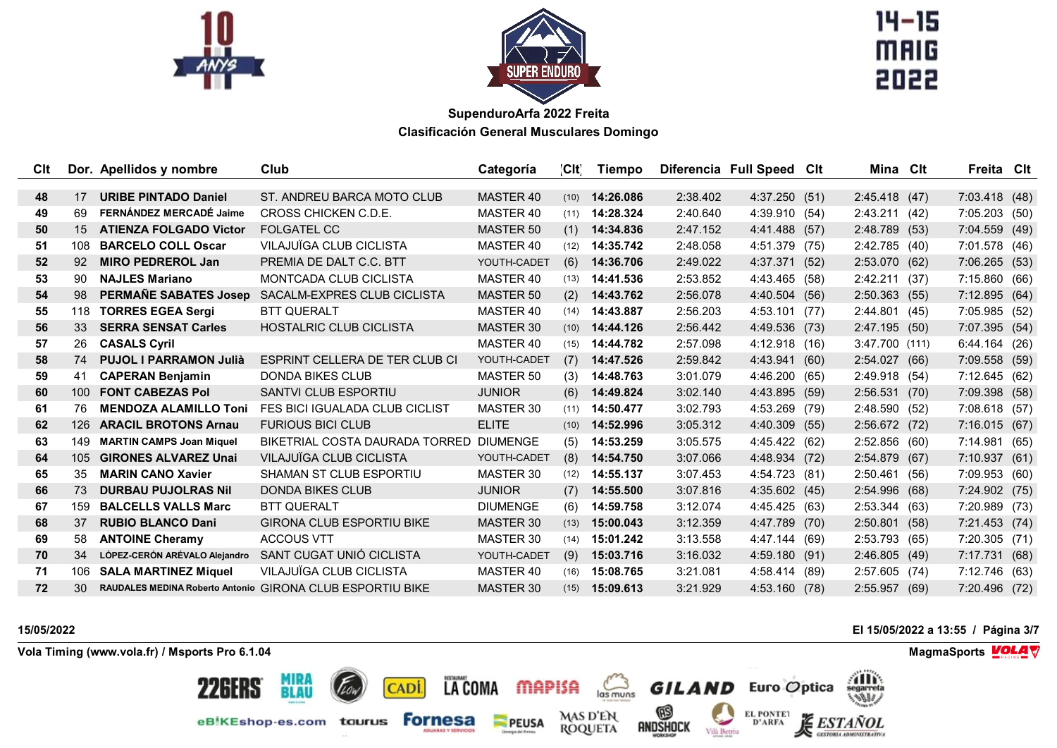



 $14 - 15$ **MAIG** 

| Clt |                  | Dor. Apellidos y nombre         | Club                                                      | Categoría        | CH   | <b>Tiempo</b> |          | Diferencia Full Speed Clt | Mina Clt      | Freita Clt    |      |
|-----|------------------|---------------------------------|-----------------------------------------------------------|------------------|------|---------------|----------|---------------------------|---------------|---------------|------|
|     |                  |                                 |                                                           |                  |      |               |          |                           |               |               |      |
| 48  | 17               | <b>URIBE PINTADO Daniel</b>     | ST. ANDREU BARCA MOTO CLUB                                | <b>MASTER 40</b> | (10) | 14:26.086     | 2:38.402 | 4:37.250(51)              | 2:45.418(47)  | 7:03.418 (48) |      |
| 49  | 69               | FERNÁNDEZ MERCADÉ Jaime         | CROSS CHICKEN C.D.E.                                      | MASTER 40        | (11) | 14:28.324     | 2:40.640 | 4:39.910 (54)             | 2:43.211(42)  | 7:05.203 (50) |      |
| 50  | 15               | <b>ATIENZA FOLGADO Victor</b>   | <b>FOLGATEL CC</b>                                        | <b>MASTER 50</b> | (1)  | 14:34.836     | 2:47.152 | 4:41.488 (57)             | 2:48.789 (53) | 7:04.559(49)  |      |
| 51  | 108              | <b>BARCELO COLL Oscar</b>       | VILAJUÏGA CLUB CICLISTA                                   | MASTER 40        | (12) | 14:35.742     | 2:48.058 | 4:51.379 (75)             | 2:42.785 (40) | 7:01.578 (46) |      |
| 52  | 92               | <b>MIRO PEDREROL Jan</b>        | PREMIA DE DALT C.C. BTT                                   | YOUTH-CADET      | (6)  | 14:36.706     | 2:49.022 | 4:37.371 (52)             | 2:53.070 (62) | 7:06.265(53)  |      |
| 53  | 90               | <b>NAJLES Mariano</b>           | <b>MONTCADA CLUB CICLISTA</b>                             | MASTER 40        | (13) | 14:41.536     | 2:53.852 | 4:43.465 (58)             | 2:42.211 (37) | 7:15.860 (66) |      |
| 54  | 98               | <b>PERMAÑE SABATES Josep</b>    | SACALM-EXPRES CLUB CICLISTA                               | <b>MASTER 50</b> | (2)  | 14:43.762     | 2:56.078 | 4:40.504 (56)             | 2:50.363(55)  | 7:12.895 (64) |      |
| 55  | 118              | <b>TORRES EGEA Sergi</b>        | <b>BTT QUERALT</b>                                        | MASTER 40        | (14) | 14:43.887     | 2:56.203 | 4:53.101(77)              | 2:44.801(45)  | 7:05.985 (52) |      |
| 56  | 33               | <b>SERRA SENSAT Carles</b>      | <b>HOSTALRIC CLUB CICLISTA</b>                            | MASTER 30        | (10) | 14:44.126     | 2:56.442 | 4:49.536 (73)             | 2:47.195(50)  | 7:07.395 (54) |      |
| 57  | 26               | <b>CASALS Cyril</b>             |                                                           | MASTER 40        | (15) | 14:44.782     | 2:57.098 | 4:12.918 (16)             | 3:47.700(111) | 6:44.164 (26) |      |
| 58  | 74               | <b>PUJOL I PARRAMON Julià</b>   | ESPRINT CELLERA DE TER CLUB CI                            | YOUTH-CADET      | (7)  | 14:47.526     | 2:59.842 | 4:43.941 (60)             | 2:54.027(66)  | 7:09.558(59)  |      |
| 59  | 41               | <b>CAPERAN Benjamin</b>         | <b>DONDA BIKES CLUB</b>                                   | MASTER 50        | (3)  | 14:48.763     | 3:01.079 | 4:46.200(65)              | 2:49.918 (54) | 7:12.645 (62) |      |
| 60  | 100 <sup>°</sup> | <b>FONT CABEZAS Pol</b>         | SANTVI CLUB ESPORTIU                                      | <b>JUNIOR</b>    | (6)  | 14:49.824     | 3:02.140 | 4:43.895 (59)             | 2:56.531(70)  | 7:09.398 (58) |      |
| 61  | 76               | <b>MENDOZA ALAMILLO Toni</b>    | FES BICI IGUALADA CLUB CICLIST                            | MASTER 30        | (11) | 14:50.477     | 3:02.793 | 4:53.269 (79)             | 2:48.590(52)  | 7:08.618 (57) |      |
| 62  | 126              | <b>ARACIL BROTONS Arnau</b>     | <b>FURIOUS BICI CLUB</b>                                  | <b>ELITE</b>     | (10) | 14:52.996     | 3:05.312 | 4:40.309 (55)             | 2:56.672 (72) | 7:16.015 (67) |      |
| 63  | 149              | <b>MARTIN CAMPS Joan Miquel</b> | BIKETRIAL COSTA DAURADA TORRED DIUMENGE                   |                  | (5)  | 14:53.259     | 3:05.575 | 4:45.422 (62)             | 2:52.856(60)  | 7:14.981 (65) |      |
| 64  | 105              | <b>GIRONES ALVAREZ Unai</b>     | VILAJUÏGA CLUB CICLISTA                                   | YOUTH-CADET      | (8)  | 14:54.750     | 3:07.066 | 4:48.934 (72)             | 2:54.879(67)  | 7:10.937 (61) |      |
| 65  | 35               | <b>MARIN CANO Xavier</b>        | SHAMAN ST CLUB ESPORTIU                                   | MASTER 30        | (12) | 14:55.137     | 3:07.453 | 4:54.723 (81)             | 2:50.461(56)  | 7:09.953 (60) |      |
| 66  | 73               | <b>DURBAU PUJOLRAS Nil</b>      | DONDA BIKES CLUB                                          | <b>JUNIOR</b>    | (7)  | 14:55.500     | 3:07.816 | 4:35.602(45)              | 2:54.996(68)  | 7:24.902 (75) |      |
| 67  | 159              | <b>BALCELLS VALLS Marc</b>      | <b>BTT QUERALT</b>                                        | <b>DIUMENGE</b>  | (6)  | 14:59.758     | 3:12.074 | 4:45.425 (63)             | 2:53.344(63)  | 7:20.989 (73) |      |
| 68  | 37               | <b>RUBIO BLANCO Dani</b>        | <b>GIRONA CLUB ESPORTIU BIKE</b>                          | <b>MASTER 30</b> | (13) | 15:00.043     | 3:12.359 | 4:47.789 (70)             | 2:50.801(58)  | 7:21.453(74)  |      |
| 69  | 58               | <b>ANTOINE Cheramy</b>          | <b>ACCOUS VTT</b>                                         | MASTER 30        | (14) | 15:01.242     | 3:13.558 | 4:47.144 (69)             | 2:53.793(65)  | 7:20.305 (71) |      |
| 70  | 34               | LÓPEZ-CERÓN ARÉVALO Alejandro   | SANT CUGAT UNIÓ CICLISTA                                  | YOUTH-CADET      | (9)  | 15:03.716     | 3:16.032 | 4:59.180 (91)             | 2:46.805 (49) | 7:17.731      | (68) |
| 71  | 106              | <b>SALA MARTINEZ Miquel</b>     | VILAJUÏGA CLUB CICLISTA                                   | MASTER 40        | (16) | 15:08.765     | 3:21.081 | 4:58.414 (89)             | 2:57.605(74)  | 7:12.746 (63) |      |
| 72  | 30               |                                 | RAUDALES MEDINA Roberto Antonio GIRONA CLUB ESPORTIU BIKE | MASTER 30        | (15) | 15:09.613     | 3:21.929 | 4:53.160 (78)             | 2:55.957 (69) | 7:20.496 (72) |      |

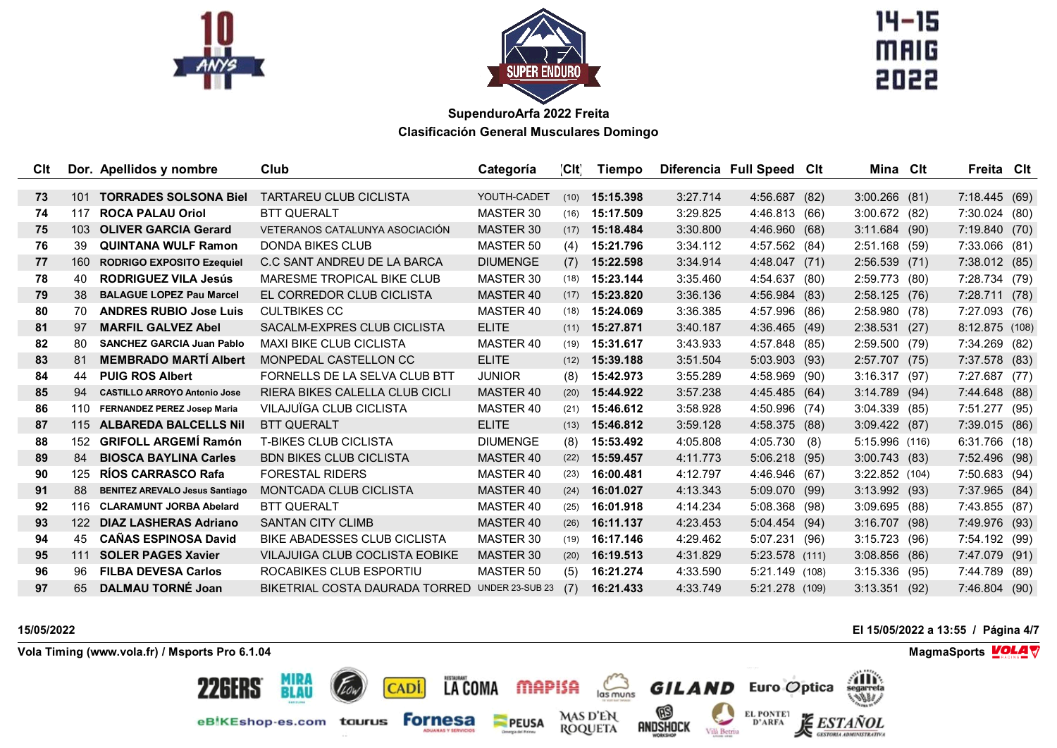



 $14 - 15$ **MAIG** 

| <b>C</b> It |     | Dor. Apellidos y nombre               | Club                                           | Categoría        | CH   | Tiempo    |          | Diferencia Full Speed Clt | Mina Clt         |      | Freita Cit      |      |
|-------------|-----|---------------------------------------|------------------------------------------------|------------------|------|-----------|----------|---------------------------|------------------|------|-----------------|------|
|             |     |                                       |                                                |                  |      |           |          |                           |                  |      |                 |      |
| 73          | 101 | <b>TORRADES SOLSONA Biel</b>          | <b>TARTAREU CLUB CICLISTA</b>                  | YOUTH-CADET      | (10) | 15:15.398 | 3:27.714 | 4:56.687 (82)             | $3:00.266$ (81)  |      | 7:18.445(69)    |      |
| 74          | 117 | <b>ROCA PALAU Oriol</b>               | <b>BTT QUERALT</b>                             | MASTER 30        | (16) | 15:17.509 | 3:29.825 | 4:46.813 (66)             | 3:00.672 (82)    |      | 7:30.024 (80)   |      |
| 75          | 103 | <b>OLIVER GARCIA Gerard</b>           | VETERANOS CATALUNYA ASOCIACIÓN                 | MASTER 30        | (17) | 15:18.484 | 3:30.800 | 4:46.960 (68)             | 3:11.684(90)     |      | 7:19.840 (70)   |      |
| 76          | 39  | <b>QUINTANA WULF Ramon</b>            | <b>DONDA BIKES CLUB</b>                        | <b>MASTER 50</b> | (4)  | 15:21.796 | 3:34.112 | 4:57.562 (84)             | 2:51.168(59)     |      | $7:33.066$ (81) |      |
| 77          | 160 | <b>RODRIGO EXPOSITO Ezequiel</b>      | C.C SANT ANDREU DE LA BARCA                    | <b>DIUMENGE</b>  | (7)  | 15:22.598 | 3:34.914 | 4:48.047 (71)             | 2:56.539(71)     |      | 7:38.012 (85)   |      |
| 78          | 40  | <b>RODRIGUEZ VILA Jesús</b>           | MARESME TROPICAL BIKE CLUB                     | MASTER 30        | (18) | 15:23.144 | 3:35.460 | 4:54.637 (80)             | 2:59.773 (80)    |      | 7:28.734 (79)   |      |
| 79          | 38  | <b>BALAGUE LOPEZ Pau Marcel</b>       | EL CORREDOR CLUB CICLISTA                      | <b>MASTER 40</b> | (17) | 15:23.820 | 3:36.136 | 4:56.984 (83)             | 2:58.125(76)     |      | 7:28.711 (78)   |      |
| 80          | 70  | <b>ANDRES RUBIO Jose Luis</b>         | <b>CULTBIKES CC</b>                            | MASTER 40        | (18) | 15:24.069 | 3:36.385 | 4:57.996 (86)             | 2:58.980(78)     |      | 7:27.093 (76)   |      |
| 81          | 97  | <b>MARFIL GALVEZ Abel</b>             | SACALM-EXPRES CLUB CICLISTA                    | <b>ELITE</b>     | (11) | 15:27.871 | 3:40.187 | 4:36.465(49)              | 2:38.531(27)     |      | 8:12.875(108)   |      |
| 82          | 80. | <b>SANCHEZ GARCIA Juan Pablo</b>      | <b>MAXI BIKE CLUB CICLISTA</b>                 | MASTER 40        | (19) | 15:31.617 | 3:43.933 | 4:57.848 (85)             | 2:59.500(79)     |      | 7:34.269 (82)   |      |
| 83          | 81  | <b>MEMBRADO MARTÍ Albert</b>          | MONPEDAL CASTELLON CC                          | <b>ELITE</b>     | (12) | 15:39.188 | 3:51.504 | $5:03.903$ (93)           | 2:57.707 (75)    |      | 7:37.578 (83)   |      |
| 84          | 44  | <b>PUIG ROS Albert</b>                | FORNELLS DE LA SELVA CLUB BTT                  | <b>JUNIOR</b>    | (8)  | 15:42.973 | 3:55.289 | 4:58.969 (90)             | 3:16.317(97)     |      | 7:27.687 (77)   |      |
| 85          | 94  | <b>CASTILLO ARROYO Antonio Jose</b>   | RIERA BIKES CALELLA CLUB CICLI                 | <b>MASTER 40</b> | (20) | 15:44.922 | 3:57.238 | 4:45.485 (64)             | $3:14.789$ (94)  |      | 7:44.648 (88)   |      |
| 86          | 110 | <b>FERNANDEZ PEREZ Josep Maria</b>    | VILAJUÏGA CLUB CICLISTA                        | MASTER 40        | (21) | 15:46.612 | 3:58.928 | 4:50.996 (74)             | 3:04.339(85)     |      | 7:51.277 (95)   |      |
| 87          | 115 | <b>ALBAREDA BALCELLS Nil</b>          | <b>BTT QUERALT</b>                             | <b>ELITE</b>     | (13) | 15:46.812 | 3:59.128 | 4:58.375 (88)             | 3:09.422(87)     |      | 7:39.015 (86)   |      |
| 88          | 152 | <b>GRIFOLL ARGEMÍ Ramón</b>           | <b>T-BIKES CLUB CICLISTA</b>                   | <b>DIUMENGE</b>  | (8)  | 15:53.492 | 4:05.808 | 4:05.730(8)               | 5:15.996(116)    |      | 6:31.766 (18)   |      |
| 89          | 84  | <b>BIOSCA BAYLINA Carles</b>          | <b>BDN BIKES CLUB CICLISTA</b>                 | <b>MASTER 40</b> | (22) | 15:59.457 | 4:11.773 | $5:06.218$ (95)           | 3:00.743(83)     |      | 7:52.496 (98)   |      |
| 90          | 125 | <b>RÍOS CARRASCO Rafa</b>             | <b>FORESTAL RIDERS</b>                         | MASTER 40        | (23) | 16:00.481 | 4:12.797 | 4:46.946 (67)             | $3:22.852$ (104) |      | 7:50.683 (94)   |      |
| 91          | 88  | <b>BENITEZ AREVALO Jesus Santiago</b> | MONTCADA CLUB CICLISTA                         | <b>MASTER 40</b> | (24) | 16:01.027 | 4:13.343 | 5:09.070 (99)             | $3:13.992$ (93)  |      | 7:37.965 (84)   |      |
| 92          |     | 116 CLARAMUNT JORBA Abelard           | <b>BTT QUERALT</b>                             | MASTER 40        | (25) | 16:01.918 | 4:14.234 | 5:08.368 (98)             | 3:09.695(88)     |      | 7:43.855 (87)   |      |
| 93          | 122 | <b>DIAZ LASHERAS Adriano</b>          | <b>SANTAN CITY CLIMB</b>                       | MASTER 40        | (26) | 16:11.137 | 4:23.453 | 5:04.454 (94)             | $3:16.707$ (98)  |      | 7:49.976 (93)   |      |
| 94          | 45  | <b>CAÑAS ESPINOSA David</b>           | <b>BIKE ABADESSES CLUB CICLISTA</b>            | MASTER 30        | (19) | 16:17.146 | 4:29.462 | 5:07.231 (96)             | 3:15.723         | (96) | 7:54.192 (99)   |      |
| 95          | 111 | <b>SOLER PAGES Xavier</b>             | VILAJUIGA CLUB COCLISTA EOBIKE                 | <b>MASTER 30</b> | (20) | 16:19.513 | 4:31.829 | $5:23.578$ (111)          | $3:08.856$ (86)  |      | 7:47.079        | (91) |
| 96          | 96  | <b>FILBA DEVESA Carlos</b>            | ROCABIKES CLUB ESPORTIU                        | <b>MASTER 50</b> | (5)  | 16:21.274 | 4:33.590 | 5:21.149 (108)            | $3:15.336$ (95)  |      | 7:44.789 (89)   |      |
| 97          | 65  | DALMAU TORNÉ Joan                     | BIKETRIAL COSTA DAURADA TORRED UNDER 23-SUB 23 |                  | (7)  | 16:21.433 | 4:33.749 | 5:21.278 (109)            | $3:13.351$ (92)  |      | 7:46.804 (90)   |      |

**15/05/2022 El 15/05/2022 a 13:55 / Página 4/7**

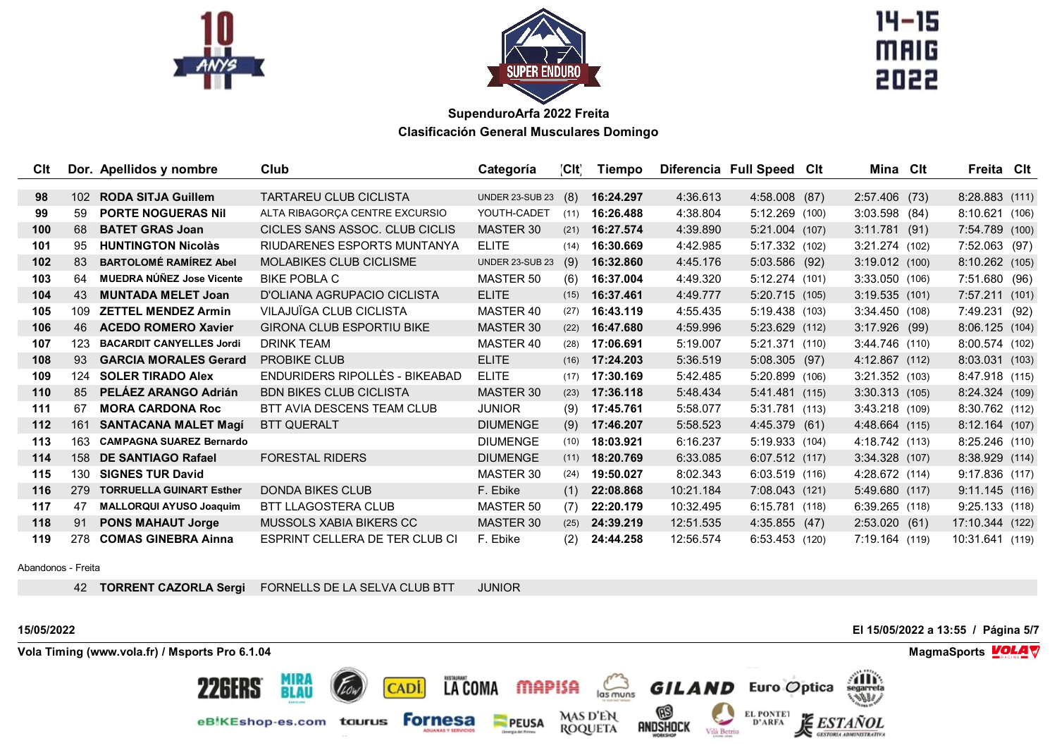



 $14 - 15$ **MAIG** 

| Clt              |                  | Dor. Apellidos y nombre         | Club                             | Categoría       | CH   | Tiempo    |           | Diferencia Full Speed Clt | Mina Clt         | Freita Clt       |  |
|------------------|------------------|---------------------------------|----------------------------------|-----------------|------|-----------|-----------|---------------------------|------------------|------------------|--|
|                  |                  |                                 |                                  |                 |      |           |           |                           |                  |                  |  |
| 98               | 102 <sub>2</sub> | <b>RODA SITJA Guillem</b>       | <b>TARTAREU CLUB CICLISTA</b>    | UNDER 23-SUB 23 | (8)  | 16:24.297 | 4:36.613  | 4:58.008 (87)             | 2:57.406 (73)    | 8:28.883(111)    |  |
| 99               | 59               | <b>PORTE NOGUERAS Nil</b>       | ALTA RIBAGORCA CENTRE EXCURSIO   | YOUTH-CADET     | (11) | 16:26.488 | 4:38.804  | 5:12.269 (100)            | $3:03.598$ (84)  | 8:10.621(106)    |  |
| 100              | 68               | <b>BATET GRAS Joan</b>          | CICLES SANS ASSOC. CLUB CICLIS   | MASTER 30       | (21) | 16:27.574 | 4:39.890  | 5:21.004 (107)            | $3:11.781$ (91)  | 7:54.789 (100)   |  |
| 101              | 95               | <b>HUNTINGTON Nicolàs</b>       | RIUDARENES ESPORTS MUNTANYA      | <b>ELITE</b>    | (14) | 16:30.669 | 4:42.985  | 5:17.332 (102)            | 3:21.274(102)    | 7:52.063 (97)    |  |
| 102 <sub>2</sub> | 83               | <b>BARTOLOMÉ RAMÍREZ Abel</b>   | MOLABIKES CLUB CICLISME          | UNDER 23-SUB 23 | (9)  | 16:32.860 | 4:45.176  | 5:03.586 (92)             | 3:19.012(100)    | 8:10.262 (105)   |  |
| 103              | 64               | MUEDRA NÚÑEZ Jose Vicente       | <b>BIKE POBLA C</b>              | MASTER 50       | (6)  | 16:37.004 | 4:49.320  | 5:12.274 (101)            | 3:33.050(106)    | 7:51.680 (96)    |  |
| 104              | 43               | <b>MUNTADA MELET Joan</b>       | D'OLIANA AGRUPACIO CICLISTA      | <b>ELITE</b>    | (15) | 16:37.461 | 4:49.777  | 5:20.715 (105)            | 3:19.535(101)    | 7:57.211(101)    |  |
| 105              | 109              | <b>ZETTEL MENDEZ Armin</b>      | VILAJUÏGA CLUB CICLISTA          | MASTER 40       | (27) | 16:43.119 | 4:55.435  | 5:19.438 (103)            | 3:34.450(108)    | 7:49.231 (92)    |  |
| 106              | 46               | <b>ACEDO ROMERO Xavier</b>      | <b>GIRONA CLUB ESPORTIU BIKE</b> | MASTER 30       | (22) | 16:47.680 | 4:59.996  | 5:23.629 (112)            | 3:17.926 (99)    | 8:06.125(104)    |  |
| 107              | 123              | <b>BACARDIT CANYELLES Jordi</b> | <b>DRINK TEAM</b>                | MASTER 40       | (28) | 17:06.691 | 5:19.007  | 5:21.371(110)             | 3:44.746(110)    | 8:00.574 (102)   |  |
| 108              | 93               | <b>GARCIA MORALES Gerard</b>    | <b>PROBIKE CLUB</b>              | <b>ELITE</b>    | (16) | 17:24.203 | 5:36.519  | 5:08.305 (97)             | 4:12.867 (112)   | 8:03.031 (103)   |  |
| 109              | 124              | <b>SOLER TIRADO Alex</b>        | ENDURIDERS RIPOLLÈS - BIKEABAD   | <b>ELITE</b>    | (17) | 17:30.169 | 5:42.485  | 5:20.899 (106)            | $3:21.352$ (103) | 8:47.918 (115)   |  |
| 110              | 85               | PELÁEZ ARANGO Adrián            | <b>BDN BIKES CLUB CICLISTA</b>   | MASTER 30       | (23) | 17:36.118 | 5:48.434  | 5:41.481(115)             | $3:30.313$ (105) | 8:24.324 (109)   |  |
| 111              | 67               | <b>MORA CARDONA Roc</b>         | BTT AVIA DESCENS TEAM CLUB       | <b>JUNIOR</b>   | (9)  | 17:45.761 | 5:58.077  | 5:31.781 (113)            | 3:43.218 (109)   | 8:30.762 (112)   |  |
| $112$            | 161              | <b>SANTACANA MALET Magí</b>     | <b>BTT QUERALT</b>               | <b>DIUMENGE</b> | (9)  | 17:46.207 | 5:58.523  | 4:45.379 (61)             | 4:48.664 (115)   | $8:12.164$ (107) |  |
| 113              | 163              | <b>CAMPAGNA SUAREZ Bernardo</b> |                                  | <b>DIUMENGE</b> | (10) | 18:03.921 | 6:16.237  | 5:19.933 (104)            | 4:18.742 (113)   | $8:25.246$ (110) |  |
| 114              | 158              | <b>DE SANTIAGO Rafael</b>       | <b>FORESTAL RIDERS</b>           | <b>DIUMENGE</b> | (11) | 18:20.769 | 6:33.085  | 6:07.512 (117)            | $3:34.328$ (107) | 8:38.929 (114)   |  |
| 115              | 130              | <b>SIGNES TUR David</b>         |                                  | MASTER 30       | (24) | 19:50.027 | 8:02.343  | 6:03.519(116)             | 4:28.672 (114)   | 9:17.836(117)    |  |
| 116              | 279              | <b>TORRUELLA GUINART Esther</b> | <b>DONDA BIKES CLUB</b>          | F. Ebike        | (1)  | 22:08.868 | 10:21.184 | 7:08.043 (121)            | 5:49.680 (117)   | 9:11.145(116)    |  |
| 117              | 47               | <b>MALLORQUI AYUSO Joaquim</b>  | <b>BTT LLAGOSTERA CLUB</b>       | MASTER 50       | (7)  | 22:20.179 | 10:32.495 | 6:15.781(118)             | 6:39.265(118)    | 9:25.133(118)    |  |
| 118              | 91               | <b>PONS MAHAUT Jorge</b>        | MUSSOLS XABIA BIKERS CC          | MASTER 30       | (25) | 24:39.219 | 12:51.535 | 4:35.855(47)              | 2:53.020(61)     | 17:10.344 (122)  |  |
| 119              | 278              | <b>COMAS GINEBRA Ainna</b>      | ESPRINT CELLERA DE TER CLUB CI   | F. Ebike        | (2)  | 24:44.258 | 12:56.574 | 6:53.453(120)             | 7:19.164 (119)   | 10:31.641 (119)  |  |

Abandonos - Freita

**TORRENT CAZORLA Sergi** FORNELLS DE LA SELVA CLUB BTT JUNIOR

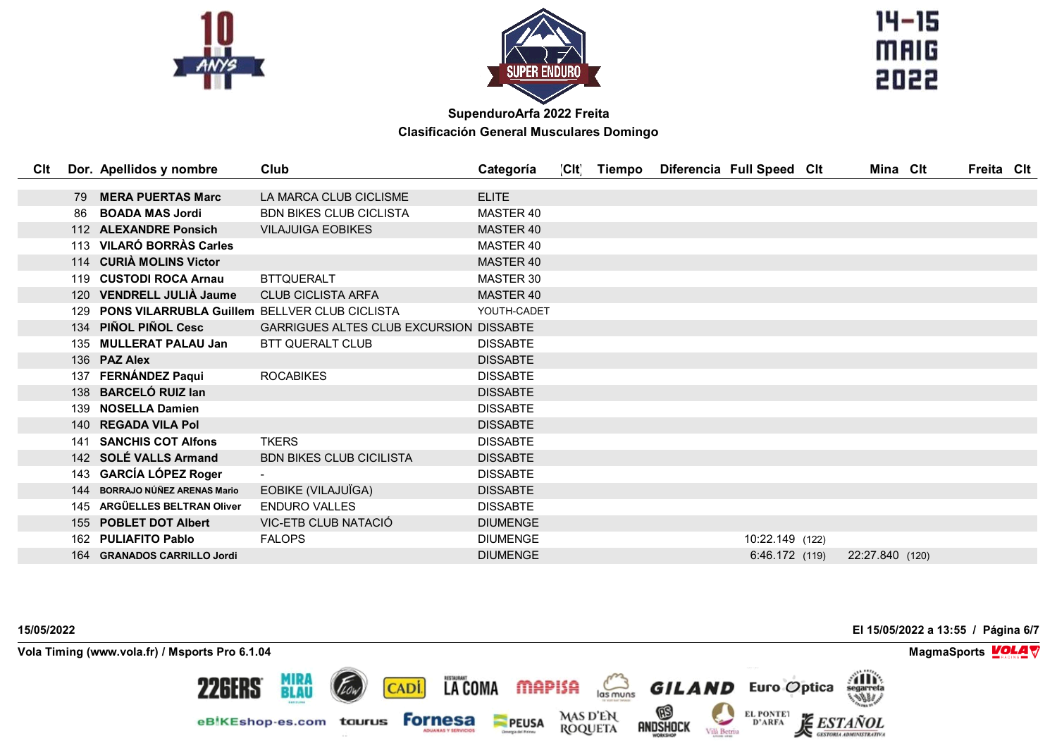



 $14 - 15$ **MAIG** 

| Clt |     | Dor. Apellidos y nombre                           | Club                                           | Categoría        | [Clt] | Tiempo | Diferencia Full Speed Clt | Mina Clt        | Freita Cit |  |
|-----|-----|---------------------------------------------------|------------------------------------------------|------------------|-------|--------|---------------------------|-----------------|------------|--|
|     |     |                                                   |                                                |                  |       |        |                           |                 |            |  |
|     | 79  | <b>MERA PUERTAS Marc</b>                          | LA MARCA CLUB CICLISME                         | <b>ELITE</b>     |       |        |                           |                 |            |  |
|     | 86  | <b>BOADA MAS Jordi</b>                            | <b>BDN BIKES CLUB CICLISTA</b>                 | MASTER 40        |       |        |                           |                 |            |  |
|     | 112 | <b>ALEXANDRE Ponsich</b>                          | <b>VILAJUIGA EOBIKES</b>                       | <b>MASTER 40</b> |       |        |                           |                 |            |  |
|     |     | 113 VILARÓ BORRÀS Carles                          |                                                | MASTER 40        |       |        |                           |                 |            |  |
|     |     | 114 CURIÀ MOLINS Victor                           |                                                | <b>MASTER 40</b> |       |        |                           |                 |            |  |
|     |     | 119 CUSTODI ROCA Arnau                            | <b>BTTQUERALT</b>                              | MASTER 30        |       |        |                           |                 |            |  |
|     |     | 120 VENDRELL JULIÀ Jaume                          | <b>CLUB CICLISTA ARFA</b>                      | <b>MASTER 40</b> |       |        |                           |                 |            |  |
|     |     | 129 PONS VILARRUBLA Guillem BELLVER CLUB CICLISTA |                                                | YOUTH-CADET      |       |        |                           |                 |            |  |
|     |     | 134 PIÑOL PIÑOL Cesc                              | <b>GARRIGUES ALTES CLUB EXCURSION DISSABTE</b> |                  |       |        |                           |                 |            |  |
|     |     | 135 MULLERAT PALAU Jan                            | <b>BTT QUERALT CLUB</b>                        | <b>DISSABTE</b>  |       |        |                           |                 |            |  |
|     |     | 136 PAZ Alex                                      |                                                | <b>DISSABTE</b>  |       |        |                           |                 |            |  |
|     | 137 | <b>FERNÁNDEZ Paqui</b>                            | <b>ROCABIKES</b>                               | <b>DISSABTE</b>  |       |        |                           |                 |            |  |
|     |     | 138 BARCELÓ RUIZ Ian                              |                                                | <b>DISSABTE</b>  |       |        |                           |                 |            |  |
|     |     | 139 NOSELLA Damien                                |                                                | <b>DISSABTE</b>  |       |        |                           |                 |            |  |
|     |     | 140 REGADA VILA Pol                               |                                                | <b>DISSABTE</b>  |       |        |                           |                 |            |  |
|     |     | 141 SANCHIS COT Alfons                            | <b>TKERS</b>                                   | <b>DISSABTE</b>  |       |        |                           |                 |            |  |
|     |     | 142 SOLÉ VALLS Armand                             | <b>BDN BIKES CLUB CICILISTA</b>                | <b>DISSABTE</b>  |       |        |                           |                 |            |  |
|     |     | 143 GARCÍA LÓPEZ Roger                            |                                                | <b>DISSABTE</b>  |       |        |                           |                 |            |  |
|     | 144 | <b>BORRAJO NÚÑEZ ARENAS Mario</b>                 | EOBIKE (VILAJUÏGA)                             | <b>DISSABTE</b>  |       |        |                           |                 |            |  |
|     | 145 | ARGÜELLES BELTRAN Oliver                          | <b>ENDURO VALLES</b>                           | <b>DISSABTE</b>  |       |        |                           |                 |            |  |
|     |     | 155 POBLET DOT Albert                             | VIC-ETB CLUB NATACIÓ                           | <b>DIUMENGE</b>  |       |        |                           |                 |            |  |
|     | 162 | <b>PULIAFITO Pablo</b>                            | <b>FALOPS</b>                                  | <b>DIUMENGE</b>  |       |        | 10:22.149 (122)           |                 |            |  |
|     | 164 | <b>GRANADOS CARRILLO Jordi</b>                    |                                                | <b>DIUMENGE</b>  |       |        | 6:46.172 (119)            | 22:27.840 (120) |            |  |